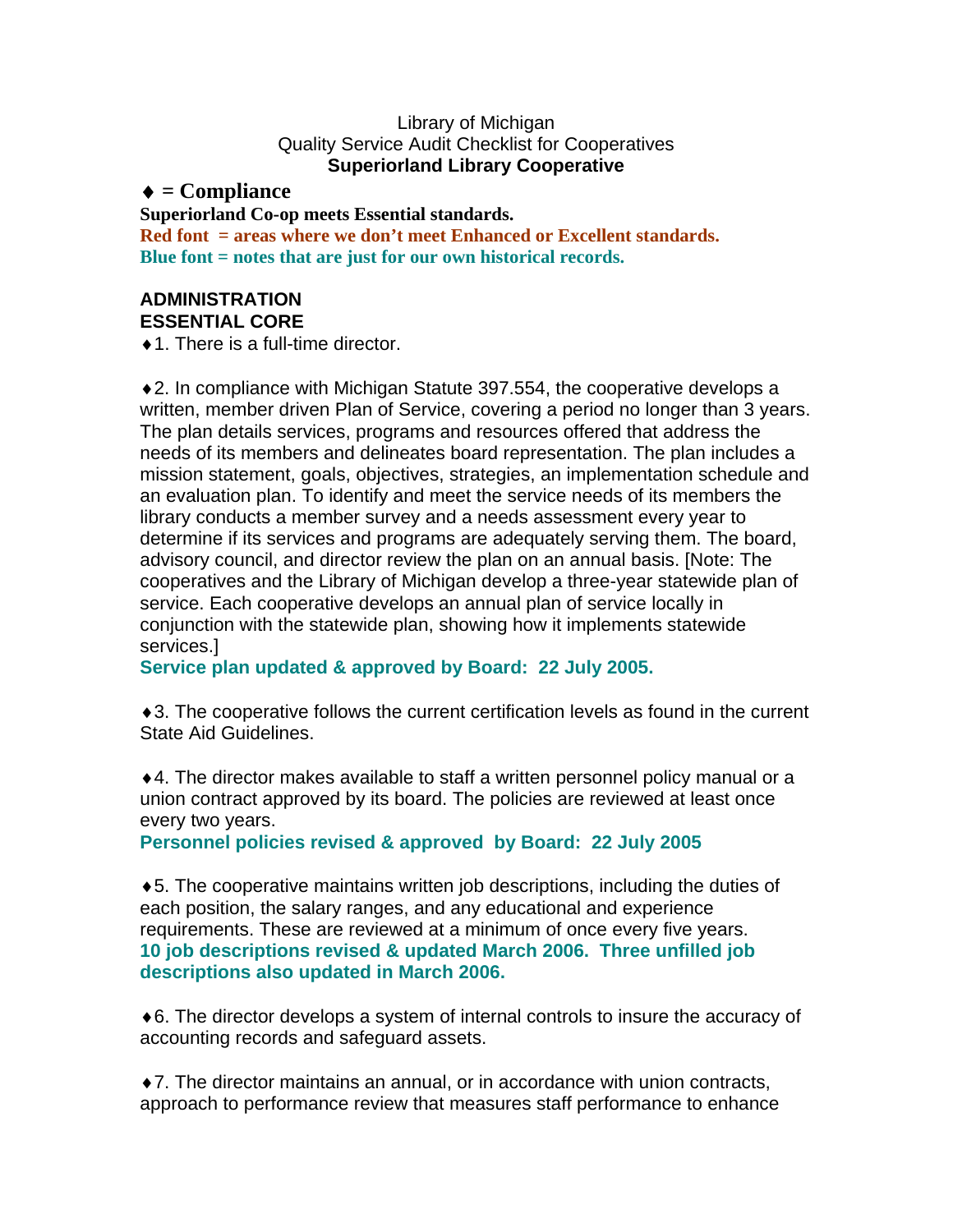#### Library of Michigan Quality Service Audit Checklist for Cooperatives **Superiorland Library Cooperative**

## ♦ **= Compliance**

#### **Superiorland Co-op meets Essential standards.**

**Red font = areas where we don't meet Enhanced or Excellent standards. Blue font = notes that are just for our own historical records.** 

### **ADMINISTRATION ESSENTIAL CORE**

 $\triangle$  1. There is a full-time director.

♦2. In compliance with Michigan Statute 397.554, the cooperative develops a written, member driven Plan of Service, covering a period no longer than 3 years. The plan details services, programs and resources offered that address the needs of its members and delineates board representation. The plan includes a mission statement, goals, objectives, strategies, an implementation schedule and an evaluation plan. To identify and meet the service needs of its members the library conducts a member survey and a needs assessment every year to determine if its services and programs are adequately serving them. The board, advisory council, and director review the plan on an annual basis. [Note: The cooperatives and the Library of Michigan develop a three-year statewide plan of service. Each cooperative develops an annual plan of service locally in conjunction with the statewide plan, showing how it implements statewide services.]

**Service plan updated & approved by Board: 22 July 2005.** 

♦3. The cooperative follows the current certification levels as found in the current State Aid Guidelines.

♦4. The director makes available to staff a written personnel policy manual or a union contract approved by its board. The policies are reviewed at least once every two years.

**Personnel policies revised & approved by Board: 22 July 2005** 

♦5. The cooperative maintains written job descriptions, including the duties of each position, the salary ranges, and any educational and experience requirements. These are reviewed at a minimum of once every five years. **10 job descriptions revised & updated March 2006. Three unfilled job descriptions also updated in March 2006.** 

♦6. The director develops a system of internal controls to insure the accuracy of accounting records and safeguard assets.

♦7. The director maintains an annual, or in accordance with union contracts, approach to performance review that measures staff performance to enhance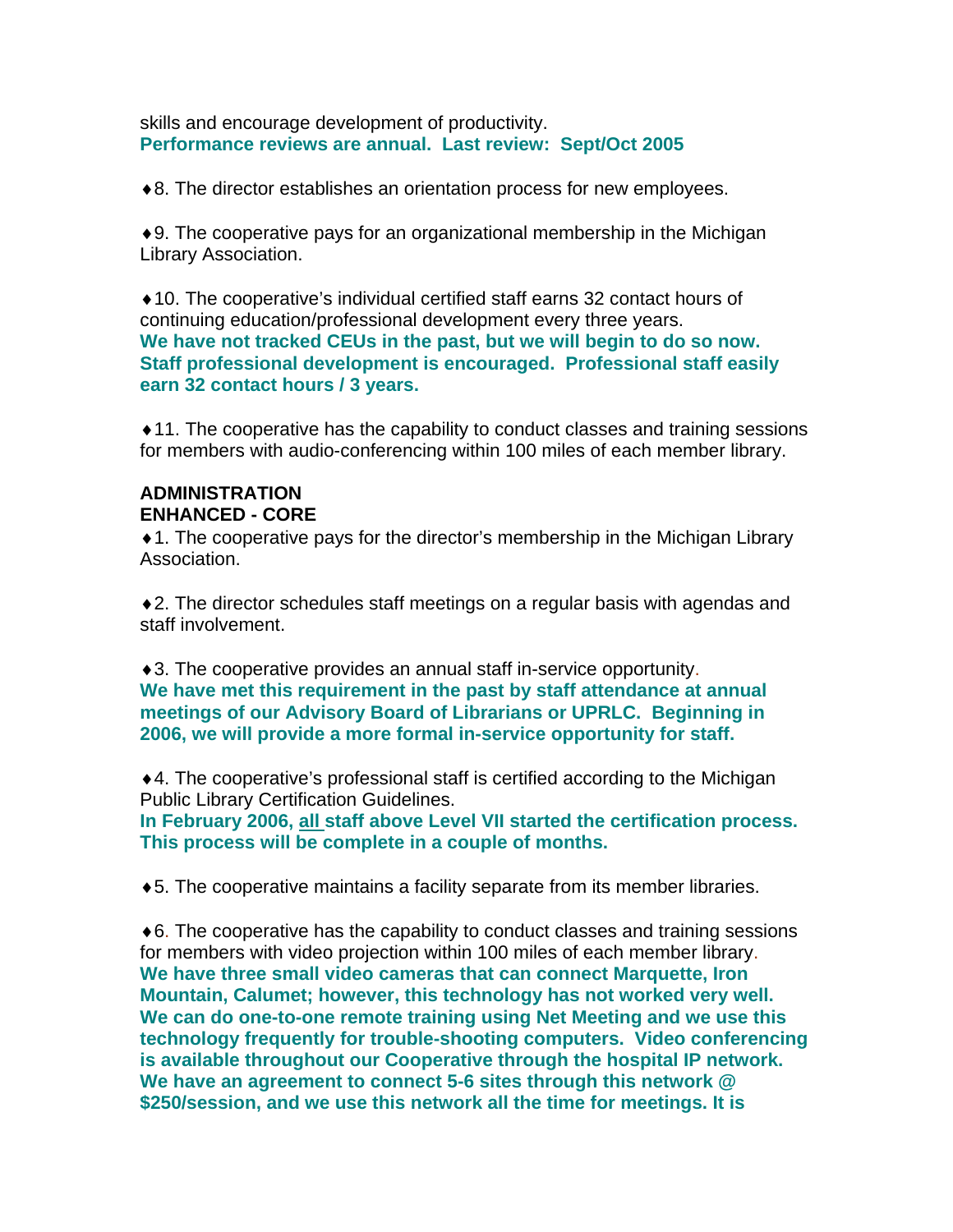skills and encourage development of productivity. **Performance reviews are annual. Last review: Sept/Oct 2005** 

♦8. The director establishes an orientation process for new employees.

♦9. The cooperative pays for an organizational membership in the Michigan Library Association.

♦10. The cooperative's individual certified staff earns 32 contact hours of continuing education/professional development every three years. **We have not tracked CEUs in the past, but we will begin to do so now. Staff professional development is encouraged. Professional staff easily earn 32 contact hours / 3 years.** 

♦11. The cooperative has the capability to conduct classes and training sessions for members with audio-conferencing within 100 miles of each member library.

### **ADMINISTRATION ENHANCED - CORE**

♦1. The cooperative pays for the director's membership in the Michigan Library Association.

♦2. The director schedules staff meetings on a regular basis with agendas and staff involvement.

♦3. The cooperative provides an annual staff in-service opportunity. **We have met this requirement in the past by staff attendance at annual meetings of our Advisory Board of Librarians or UPRLC. Beginning in 2006, we will provide a more formal in-service opportunity for staff.** 

♦4. The cooperative's professional staff is certified according to the Michigan Public Library Certification Guidelines.

**In February 2006, all staff above Level VII started the certification process. This process will be complete in a couple of months.** 

♦5. The cooperative maintains a facility separate from its member libraries.

♦6. The cooperative has the capability to conduct classes and training sessions for members with video projection within 100 miles of each member library. **We have three small video cameras that can connect Marquette, Iron Mountain, Calumet; however, this technology has not worked very well. We can do one-to-one remote training using Net Meeting and we use this technology frequently for trouble-shooting computers. Video conferencing is available throughout our Cooperative through the hospital IP network. We have an agreement to connect 5-6 sites through this network @ \$250/session, and we use this network all the time for meetings. It is**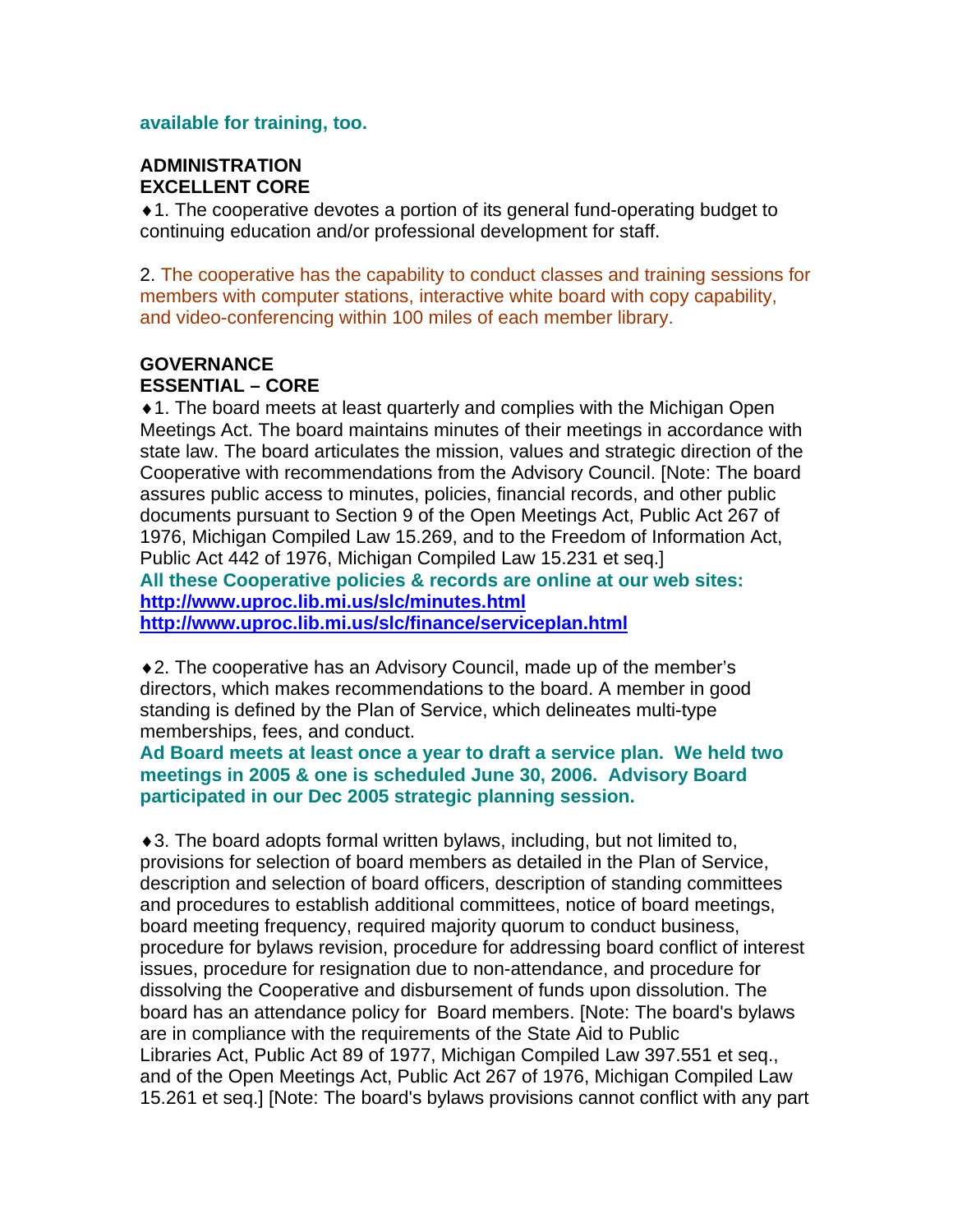#### **available for training, too.**

### **ADMINISTRATION EXCELLENT CORE**

♦1. The cooperative devotes a portion of its general fund-operating budget to continuing education and/or professional development for staff.

2. The cooperative has the capability to conduct classes and training sessions for members with computer stations, interactive white board with copy capability, and video-conferencing within 100 miles of each member library.

### **GOVERNANCE ESSENTIAL – CORE**

♦1. The board meets at least quarterly and complies with the Michigan Open Meetings Act. The board maintains minutes of their meetings in accordance with state law. The board articulates the mission, values and strategic direction of the Cooperative with recommendations from the Advisory Council. [Note: The board assures public access to minutes, policies, financial records, and other public documents pursuant to Section 9 of the Open Meetings Act, Public Act 267 of 1976, Michigan Compiled Law 15.269, and to the Freedom of Information Act, Public Act 442 of 1976, Michigan Compiled Law 15.231 et seq.] **All these Cooperative policies & records are online at our web sites: <http://www.uproc.lib.mi.us/slc/minutes.html>**

**<http://www.uproc.lib.mi.us/slc/finance/serviceplan.html>**

♦2. The cooperative has an Advisory Council, made up of the member's directors, which makes recommendations to the board. A member in good standing is defined by the Plan of Service, which delineates multi-type memberships, fees, and conduct.

**Ad Board meets at least once a year to draft a service plan. We held two meetings in 2005 & one is scheduled June 30, 2006. Advisory Board participated in our Dec 2005 strategic planning session.** 

♦3. The board adopts formal written bylaws, including, but not limited to, provisions for selection of board members as detailed in the Plan of Service, description and selection of board officers, description of standing committees and procedures to establish additional committees, notice of board meetings, board meeting frequency, required majority quorum to conduct business, procedure for bylaws revision, procedure for addressing board conflict of interest issues, procedure for resignation due to non-attendance, and procedure for dissolving the Cooperative and disbursement of funds upon dissolution. The board has an attendance policy for Board members. [Note: The board's bylaws are in compliance with the requirements of the State Aid to Public Libraries Act, Public Act 89 of 1977, Michigan Compiled Law 397.551 et seq., and of the Open Meetings Act, Public Act 267 of 1976, Michigan Compiled Law 15.261 et seq.] [Note: The board's bylaws provisions cannot conflict with any part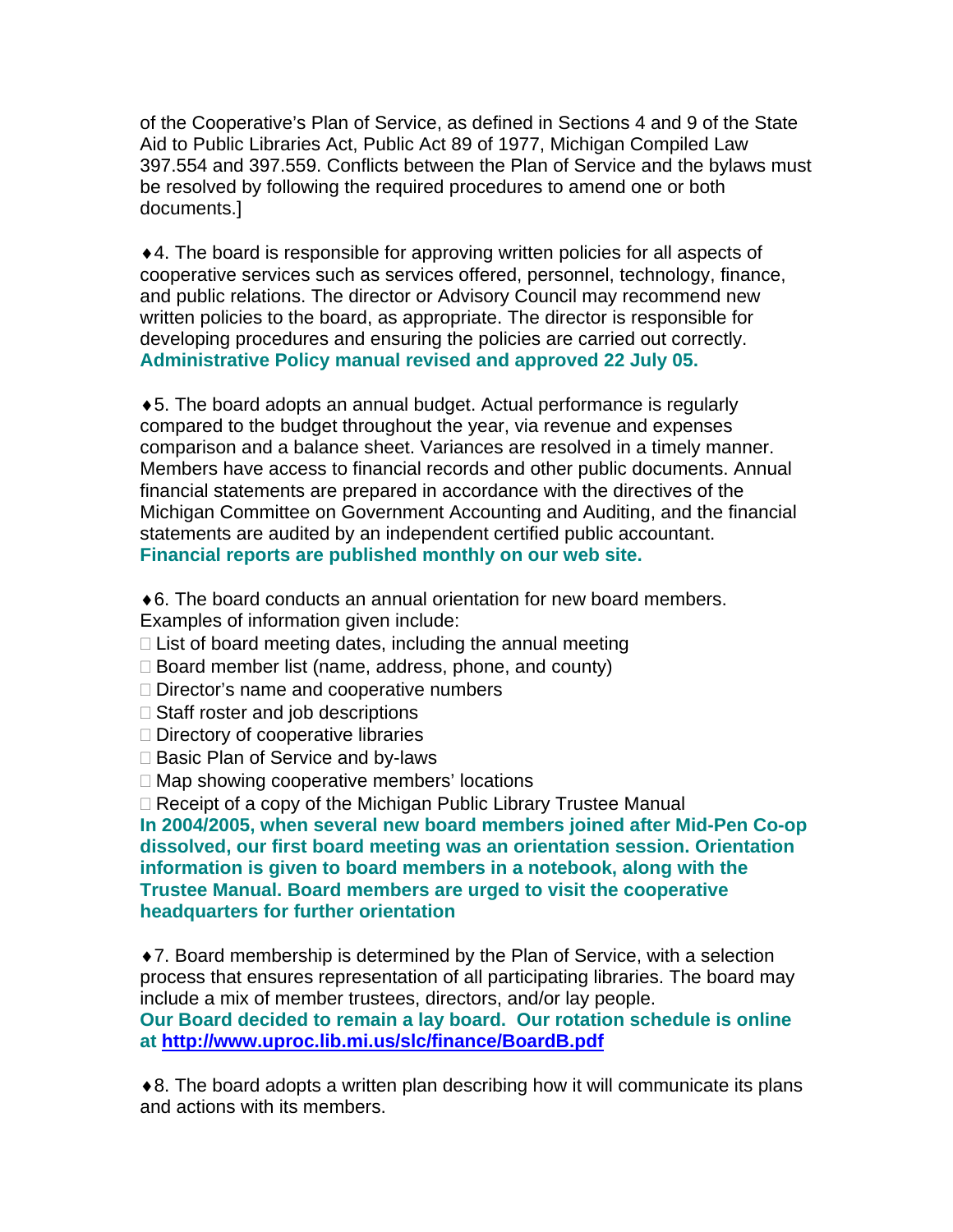of the Cooperative's Plan of Service, as defined in Sections 4 and 9 of the State Aid to Public Libraries Act, Public Act 89 of 1977, Michigan Compiled Law 397.554 and 397.559. Conflicts between the Plan of Service and the bylaws must be resolved by following the required procedures to amend one or both documents.]

♦4. The board is responsible for approving written policies for all aspects of cooperative services such as services offered, personnel, technology, finance, and public relations. The director or Advisory Council may recommend new written policies to the board, as appropriate. The director is responsible for developing procedures and ensuring the policies are carried out correctly. **Administrative Policy manual revised and approved 22 July 05.** 

♦5. The board adopts an annual budget. Actual performance is regularly compared to the budget throughout the year, via revenue and expenses comparison and a balance sheet. Variances are resolved in a timely manner. Members have access to financial records and other public documents. Annual financial statements are prepared in accordance with the directives of the Michigan Committee on Government Accounting and Auditing, and the financial statements are audited by an independent certified public accountant. **Financial reports are published monthly on our web site.** 

- ♦6. The board conducts an annual orientation for new board members. Examples of information given include:
- $\Box$  List of board meeting dates, including the annual meeting
- □ Board member list (name, address, phone, and county)
- □ Director's name and cooperative numbers
- $\Box$  Staff roster and job descriptions
- $\Box$  Directory of cooperative libraries
- □ Basic Plan of Service and by-laws
- □ Map showing cooperative members' locations

□ Receipt of a copy of the Michigan Public Library Trustee Manual

**In 2004/2005, when several new board members joined after Mid-Pen Co-op dissolved, our first board meeting was an orientation session. Orientation information is given to board members in a notebook, along with the Trustee Manual. Board members are urged to visit the cooperative headquarters for further orientation** 

♦7. Board membership is determined by the Plan of Service, with a selection process that ensures representation of all participating libraries. The board may include a mix of member trustees, directors, and/or lay people.

**Our Board decided to remain a lay board. Our rotation schedule is online at<http://www.uproc.lib.mi.us/slc/finance/BoardB.pdf>** 

♦8. The board adopts a written plan describing how it will communicate its plans and actions with its members.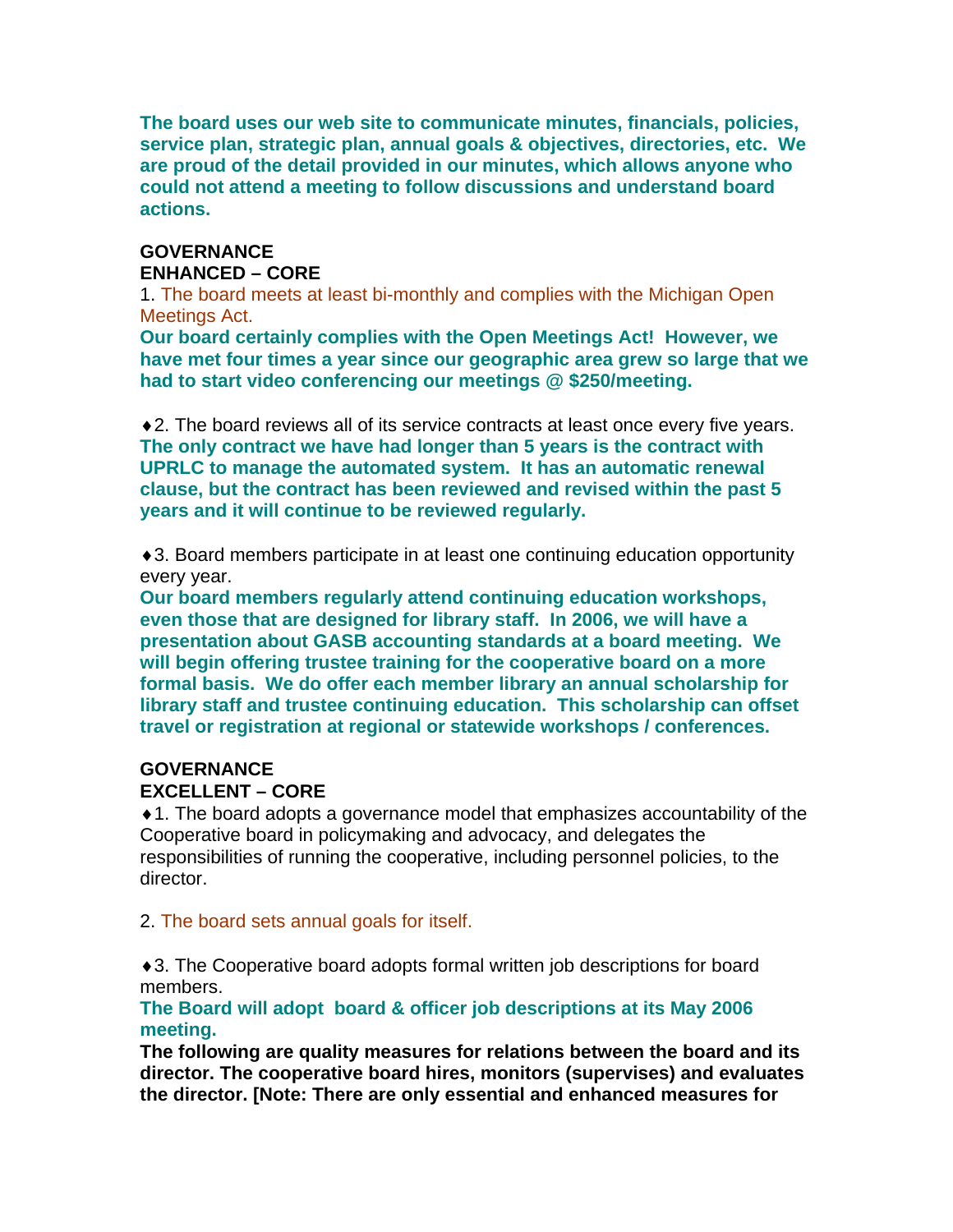**The board uses our web site to communicate minutes, financials, policies, service plan, strategic plan, annual goals & objectives, directories, etc. We are proud of the detail provided in our minutes, which allows anyone who could not attend a meeting to follow discussions and understand board actions.** 

## **GOVERNANCE ENHANCED – CORE**

1. The board meets at least bi-monthly and complies with the Michigan Open Meetings Act.

**Our board certainly complies with the Open Meetings Act! However, we have met four times a year since our geographic area grew so large that we had to start video conferencing our meetings @ \$250/meeting.** 

♦2. The board reviews all of its service contracts at least once every five years. **The only contract we have had longer than 5 years is the contract with UPRLC to manage the automated system. It has an automatic renewal clause, but the contract has been reviewed and revised within the past 5 years and it will continue to be reviewed regularly.** 

♦3. Board members participate in at least one continuing education opportunity every year.

**Our board members regularly attend continuing education workshops, even those that are designed for library staff. In 2006, we will have a presentation about GASB accounting standards at a board meeting. We will begin offering trustee training for the cooperative board on a more formal basis. We do offer each member library an annual scholarship for library staff and trustee continuing education. This scholarship can offset travel or registration at regional or statewide workshops / conferences.** 

# **GOVERNANCE EXCELLENT – CORE**

♦1. The board adopts a governance model that emphasizes accountability of the Cooperative board in policymaking and advocacy, and delegates the responsibilities of running the cooperative, including personnel policies, to the director.

2. The board sets annual goals for itself.

♦3. The Cooperative board adopts formal written job descriptions for board members.

**The Board will adopt board & officer job descriptions at its May 2006 meeting.** 

**The following are quality measures for relations between the board and its director. The cooperative board hires, monitors (supervises) and evaluates the director. [Note: There are only essential and enhanced measures for**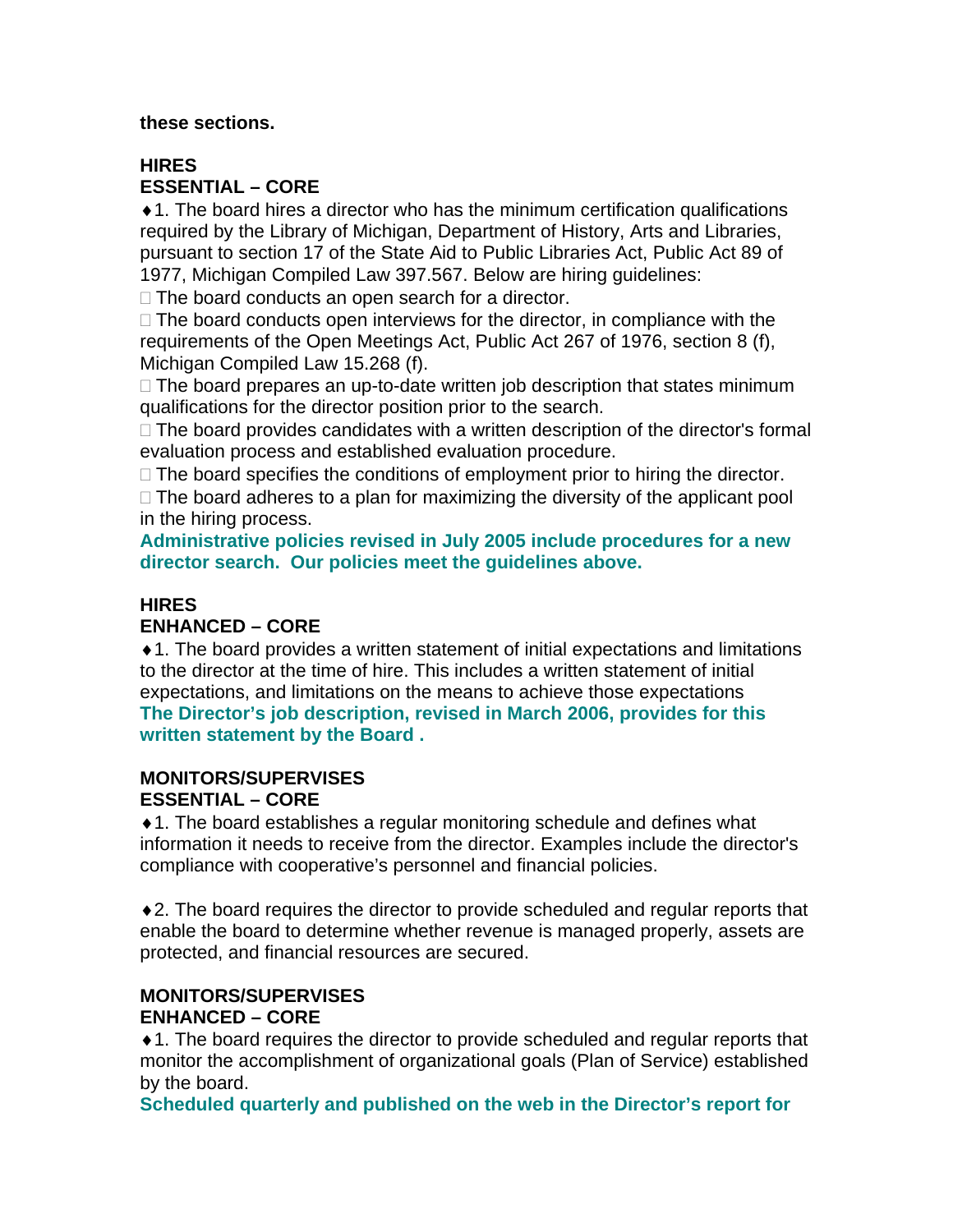#### **these sections.**

# **HIRES ESSENTIAL – CORE**

♦1. The board hires a director who has the minimum certification qualifications required by the Library of Michigan, Department of History, Arts and Libraries, pursuant to section 17 of the State Aid to Public Libraries Act, Public Act 89 of 1977, Michigan Compiled Law 397.567. Below are hiring guidelines:

 $\Box$  The board conducts an open search for a director.

 $\Box$  The board conducts open interviews for the director, in compliance with the requirements of the Open Meetings Act, Public Act 267 of 1976, section 8 (f), Michigan Compiled Law 15.268 (f).

 $\Box$  The board prepares an up-to-date written job description that states minimum qualifications for the director position prior to the search.

 $\Box$  The board provides candidates with a written description of the director's formal evaluation process and established evaluation procedure.

 $\Box$  The board specifies the conditions of employment prior to hiring the director.

 $\Box$  The board adheres to a plan for maximizing the diversity of the applicant pool in the hiring process.

**Administrative policies revised in July 2005 include procedures for a new director search. Our policies meet the guidelines above.** 

# **HIRES**

## **ENHANCED – CORE**

♦1. The board provides a written statement of initial expectations and limitations to the director at the time of hire. This includes a written statement of initial expectations, and limitations on the means to achieve those expectations **The Director's job description, revised in March 2006, provides for this written statement by the Board .** 

### **MONITORS/SUPERVISES ESSENTIAL – CORE**

♦1. The board establishes a regular monitoring schedule and defines what information it needs to receive from the director. Examples include the director's compliance with cooperative's personnel and financial policies.

♦2. The board requires the director to provide scheduled and regular reports that enable the board to determine whether revenue is managed properly, assets are protected, and financial resources are secured.

#### **MONITORS/SUPERVISES ENHANCED – CORE**

♦1. The board requires the director to provide scheduled and regular reports that monitor the accomplishment of organizational goals (Plan of Service) established by the board.

**Scheduled quarterly and published on the web in the Director's report for**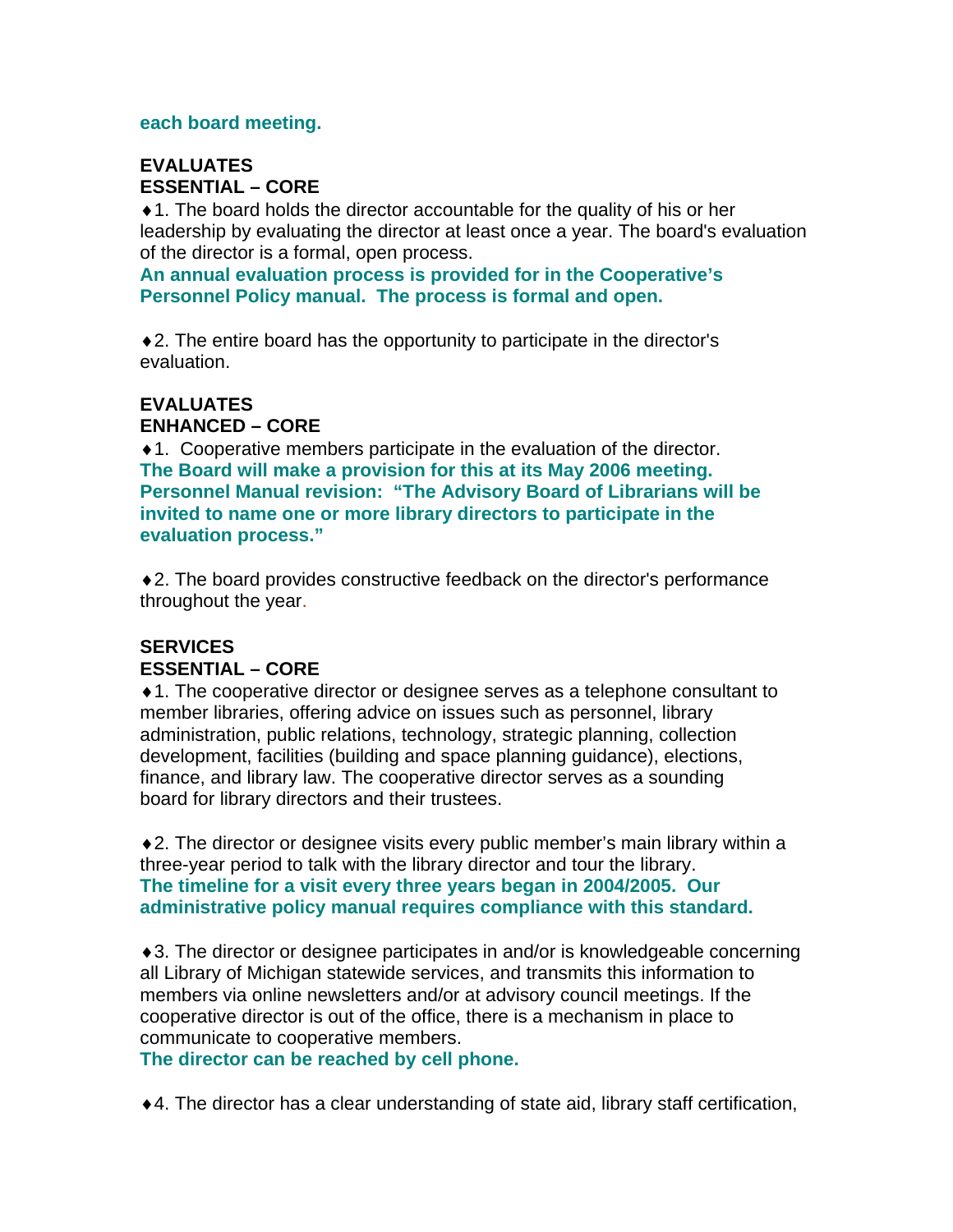#### **each board meeting.**

### **EVALUATES ESSENTIAL – CORE**

♦1. The board holds the director accountable for the quality of his or her leadership by evaluating the director at least once a year. The board's evaluation of the director is a formal, open process.

**An annual evaluation process is provided for in the Cooperative's Personnel Policy manual. The process is formal and open.** 

♦2. The entire board has the opportunity to participate in the director's evaluation.

#### **EVALUATES ENHANCED – CORE**

♦1. Cooperative members participate in the evaluation of the director. **The Board will make a provision for this at its May 2006 meeting. Personnel Manual revision: "The Advisory Board of Librarians will be invited to name one or more library directors to participate in the evaluation process."** 

♦2. The board provides constructive feedback on the director's performance throughout the year.

# **SERVICES ESSENTIAL – CORE**

♦1. The cooperative director or designee serves as a telephone consultant to member libraries, offering advice on issues such as personnel, library administration, public relations, technology, strategic planning, collection development, facilities (building and space planning guidance), elections, finance, and library law. The cooperative director serves as a sounding board for library directors and their trustees.

♦2. The director or designee visits every public member's main library within a three-year period to talk with the library director and tour the library. **The timeline for a visit every three years began in 2004/2005. Our administrative policy manual requires compliance with this standard.** 

♦3. The director or designee participates in and/or is knowledgeable concerning all Library of Michigan statewide services, and transmits this information to members via online newsletters and/or at advisory council meetings. If the cooperative director is out of the office, there is a mechanism in place to communicate to cooperative members.

**The director can be reached by cell phone.** 

♦4. The director has a clear understanding of state aid, library staff certification,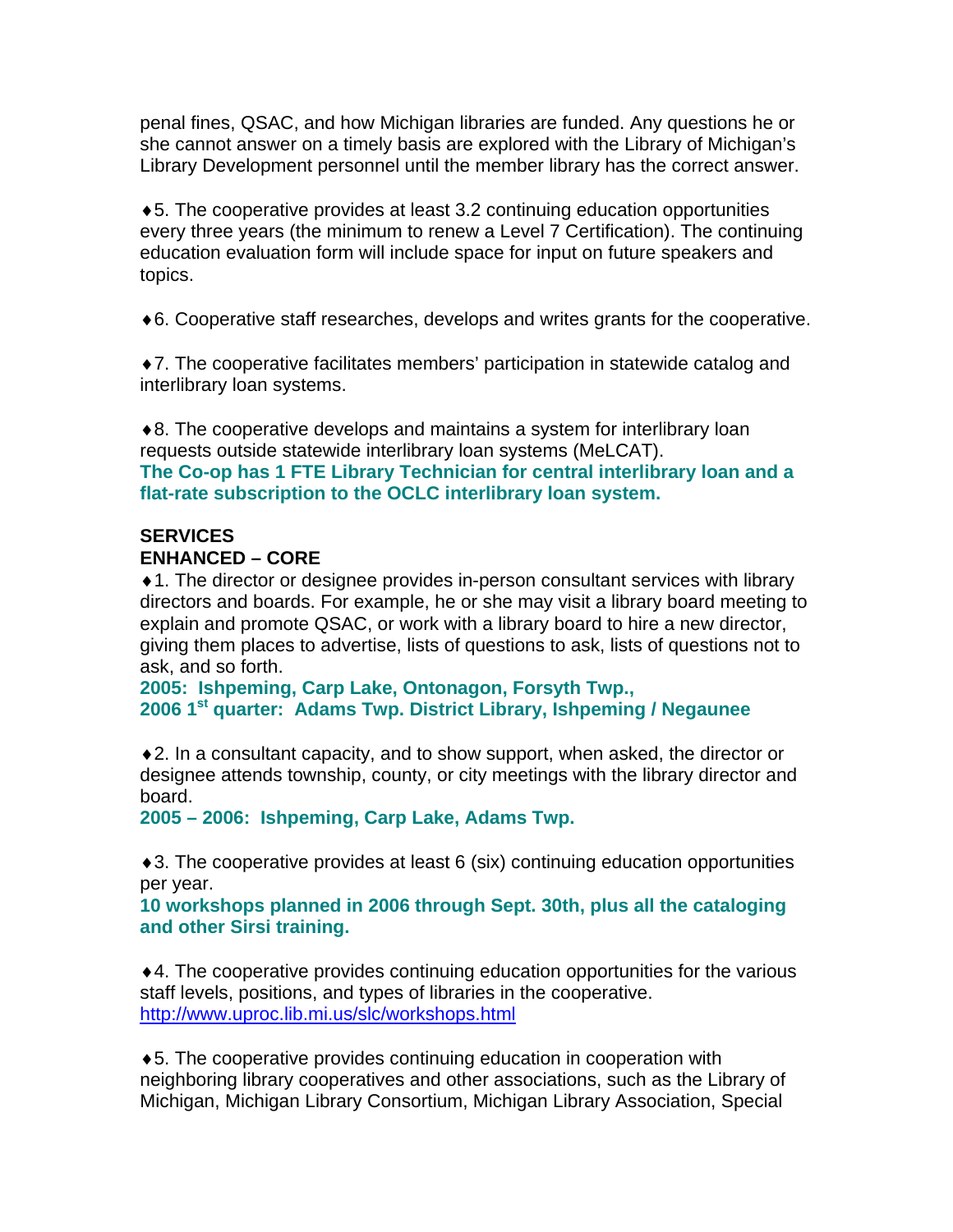penal fines, QSAC, and how Michigan libraries are funded. Any questions he or she cannot answer on a timely basis are explored with the Library of Michigan's Library Development personnel until the member library has the correct answer.

♦5. The cooperative provides at least 3.2 continuing education opportunities every three years (the minimum to renew a Level 7 Certification). The continuing education evaluation form will include space for input on future speakers and topics.

♦6. Cooperative staff researches, develops and writes grants for the cooperative.

♦7. The cooperative facilitates members' participation in statewide catalog and interlibrary loan systems.

♦8. The cooperative develops and maintains a system for interlibrary loan requests outside statewide interlibrary loan systems (MeLCAT). **The Co-op has 1 FTE Library Technician for central interlibrary loan and a flat-rate subscription to the OCLC interlibrary loan system.** 

#### **SERVICES ENHANCED – CORE**

♦1. The director or designee provides in-person consultant services with library directors and boards. For example, he or she may visit a library board meeting to explain and promote QSAC, or work with a library board to hire a new director, giving them places to advertise, lists of questions to ask, lists of questions not to ask, and so forth.

**2005: Ishpeming, Carp Lake, Ontonagon, Forsyth Twp., 2006 1st quarter: Adams Twp. District Library, Ishpeming / Negaunee** 

♦2. In a consultant capacity, and to show support, when asked, the director or designee attends township, county, or city meetings with the library director and board.

**2005 – 2006: Ishpeming, Carp Lake, Adams Twp.** 

♦3. The cooperative provides at least 6 (six) continuing education opportunities per year.

**10 workshops planned in 2006 through Sept. 30th, plus all the cataloging and other Sirsi training.** 

♦4. The cooperative provides continuing education opportunities for the various staff levels, positions, and types of libraries in the cooperative. <http://www.uproc.lib.mi.us/slc/workshops.html>

♦5. The cooperative provides continuing education in cooperation with neighboring library cooperatives and other associations, such as the Library of Michigan, Michigan Library Consortium, Michigan Library Association, Special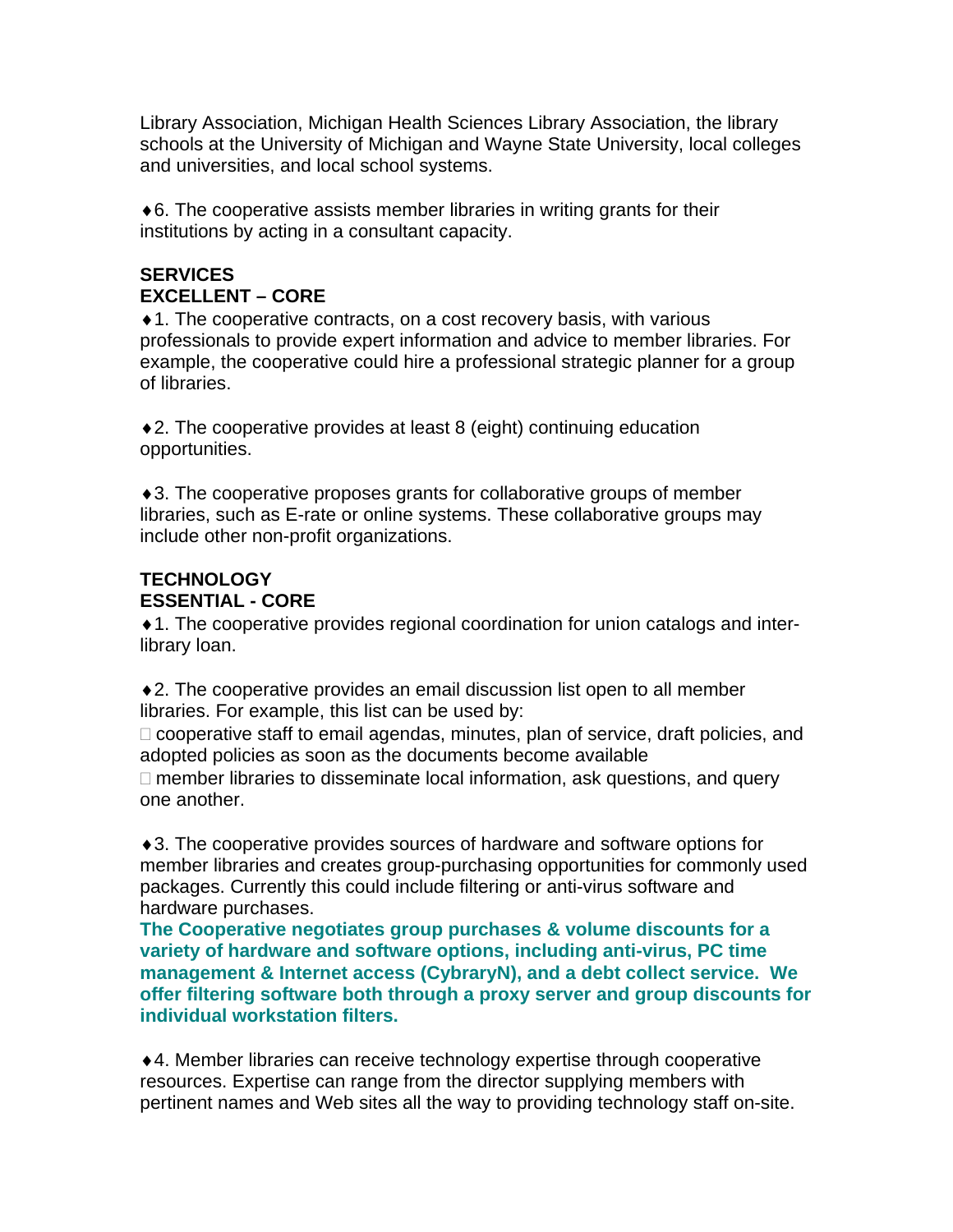Library Association, Michigan Health Sciences Library Association, the library schools at the University of Michigan and Wayne State University, local colleges and universities, and local school systems.

 $\triangle$ 6. The cooperative assists member libraries in writing grants for their institutions by acting in a consultant capacity.

# **SERVICES EXCELLENT – CORE**

♦1. The cooperative contracts, on a cost recovery basis, with various professionals to provide expert information and advice to member libraries. For example, the cooperative could hire a professional strategic planner for a group of libraries.

♦2. The cooperative provides at least 8 (eight) continuing education opportunities.

♦3. The cooperative proposes grants for collaborative groups of member libraries, such as E-rate or online systems. These collaborative groups may include other non-profit organizations.

# **TECHNOLOGY ESSENTIAL - CORE**

♦1. The cooperative provides regional coordination for union catalogs and interlibrary loan.

♦2. The cooperative provides an email discussion list open to all member libraries. For example, this list can be used by:

 $\Box$  cooperative staff to email agendas, minutes, plan of service, draft policies, and adopted policies as soon as the documents become available

 $\Box$  member libraries to disseminate local information, ask questions, and query one another.

♦3. The cooperative provides sources of hardware and software options for member libraries and creates group-purchasing opportunities for commonly used packages. Currently this could include filtering or anti-virus software and hardware purchases.

**The Cooperative negotiates group purchases & volume discounts for a variety of hardware and software options, including anti-virus, PC time management & Internet access (CybraryN), and a debt collect service. We offer filtering software both through a proxy server and group discounts for individual workstation filters.** 

♦4. Member libraries can receive technology expertise through cooperative resources. Expertise can range from the director supplying members with pertinent names and Web sites all the way to providing technology staff on-site.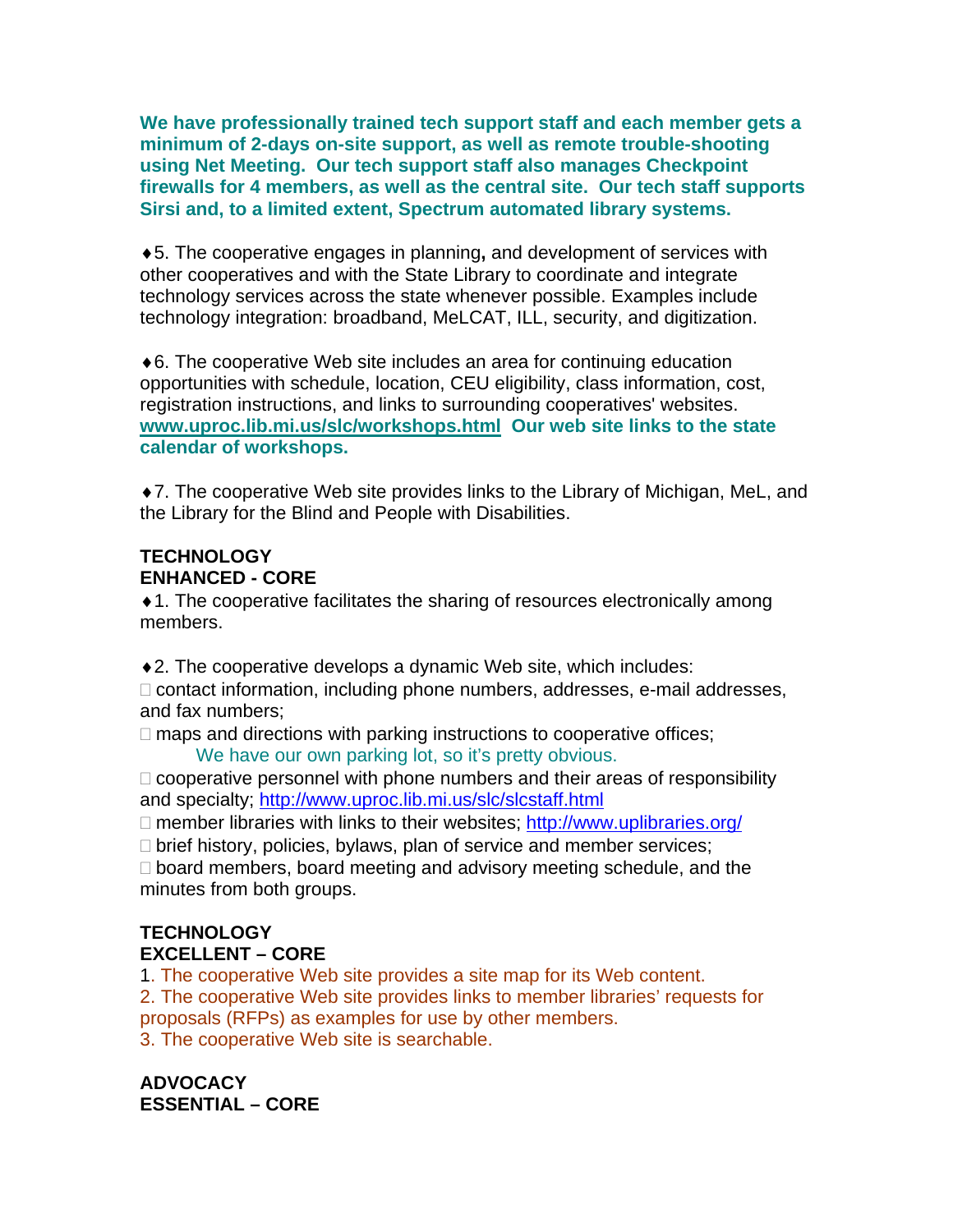**We have professionally trained tech support staff and each member gets a minimum of 2-days on-site support, as well as remote trouble-shooting using Net Meeting. Our tech support staff also manages Checkpoint firewalls for 4 members, as well as the central site. Our tech staff supports Sirsi and, to a limited extent, Spectrum automated library systems.** 

♦5. The cooperative engages in planning**,** and development of services with other cooperatives and with the State Library to coordinate and integrate technology services across the state whenever possible. Examples include technology integration: broadband, MeLCAT, ILL, security, and digitization.

♦6. The cooperative Web site includes an area for continuing education opportunities with schedule, location, CEU eligibility, class information, cost, registration instructions, and links to surrounding cooperatives' websites. **[www.uproc.lib.mi.us/slc/workshops.html](http://www.uproc.lib.mi.us/slc/workshops.html) Our web site links to the state calendar of workshops.** 

♦7. The cooperative Web site provides links to the Library of Michigan, MeL, and the Library for the Blind and People with Disabilities.

# **TECHNOLOGY ENHANCED - CORE**

♦1. The cooperative facilitates the sharing of resources electronically among members.

♦2. The cooperative develops a dynamic Web site, which includes:

□ contact information, including phone numbers, addresses, e-mail addresses, and fax numbers;

 $\Box$  maps and directions with parking instructions to cooperative offices;

We have our own parking lot, so it's pretty obvious.

 $\Box$  cooperative personnel with phone numbers and their areas of responsibility and specialty; <http://www.uproc.lib.mi.us/slc/slcstaff.html>

 $\Box$  member libraries with links to their websites;<http://www.uplibraries.org/>

 $\Box$  brief history, policies, bylaws, plan of service and member services;

 $\Box$  board members, board meeting and advisory meeting schedule, and the minutes from both groups.

# **TECHNOLOGY EXCELLENT – CORE**

1. The cooperative Web site provides a site map for its Web content. 2. The cooperative Web site provides links to member libraries' requests for proposals (RFPs) as examples for use by other members. 3. The cooperative Web site is searchable.

**ADVOCACY ESSENTIAL – CORE**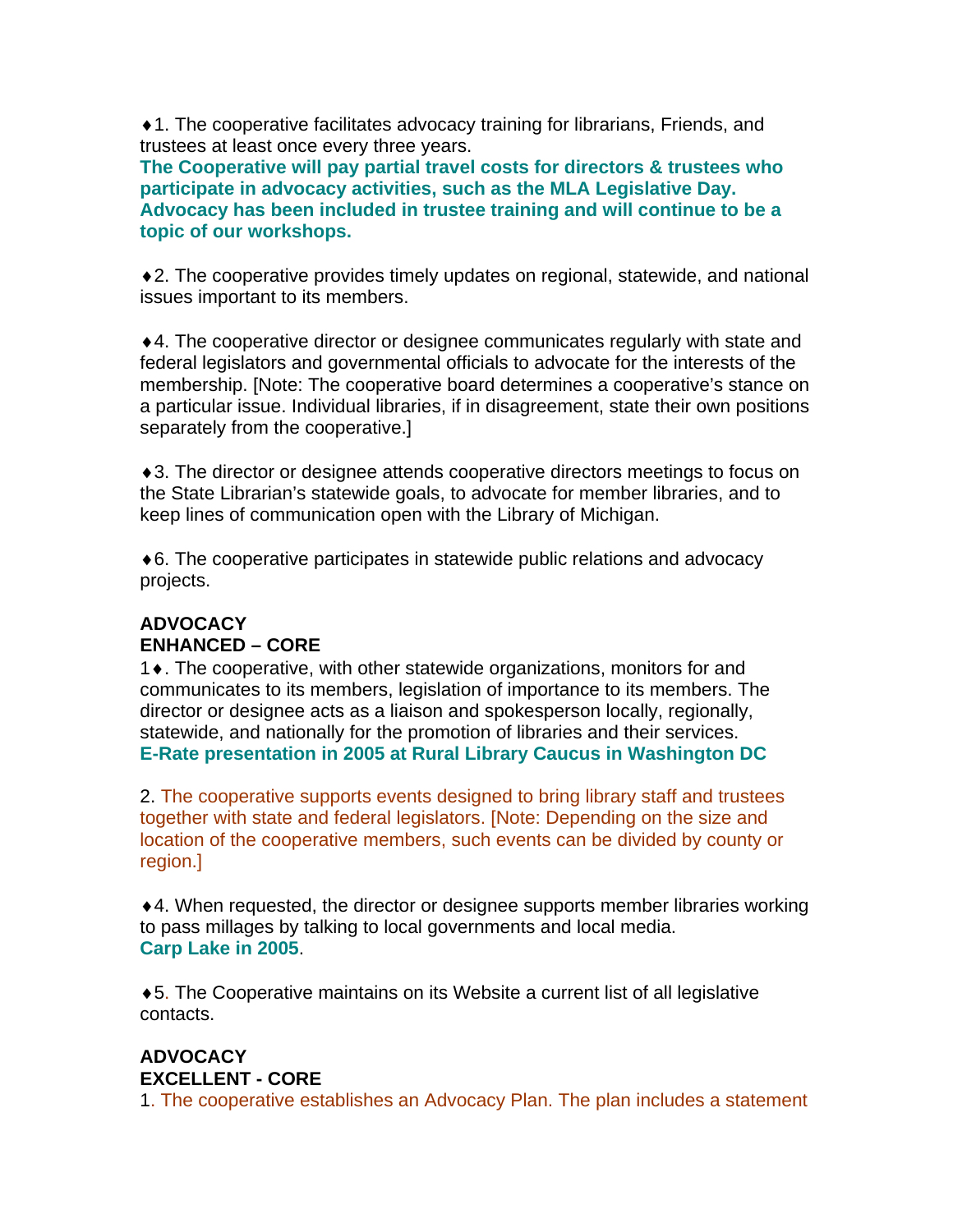♦1. The cooperative facilitates advocacy training for librarians, Friends, and trustees at least once every three years.

**The Cooperative will pay partial travel costs for directors & trustees who participate in advocacy activities, such as the MLA Legislative Day. Advocacy has been included in trustee training and will continue to be a topic of our workshops.** 

♦2. The cooperative provides timely updates on regional, statewide, and national issues important to its members.

♦4. The cooperative director or designee communicates regularly with state and federal legislators and governmental officials to advocate for the interests of the membership. [Note: The cooperative board determines a cooperative's stance on a particular issue. Individual libraries, if in disagreement, state their own positions separately from the cooperative.]

♦3. The director or designee attends cooperative directors meetings to focus on the State Librarian's statewide goals, to advocate for member libraries, and to keep lines of communication open with the Library of Michigan.

♦6. The cooperative participates in statewide public relations and advocacy projects.

# **ADVOCACY ENHANCED – CORE**

1♦. The cooperative, with other statewide organizations, monitors for and communicates to its members, legislation of importance to its members. The director or designee acts as a liaison and spokesperson locally, regionally, statewide, and nationally for the promotion of libraries and their services. **E-Rate presentation in 2005 at Rural Library Caucus in Washington DC** 

2. The cooperative supports events designed to bring library staff and trustees together with state and federal legislators. [Note: Depending on the size and location of the cooperative members, such events can be divided by county or region.]

♦4. When requested, the director or designee supports member libraries working to pass millages by talking to local governments and local media. **Carp Lake in 2005**.

♦5. The Cooperative maintains on its Website a current list of all legislative contacts.

#### **ADVOCACY EXCELLENT - CORE**

1. The cooperative establishes an Advocacy Plan. The plan includes a statement